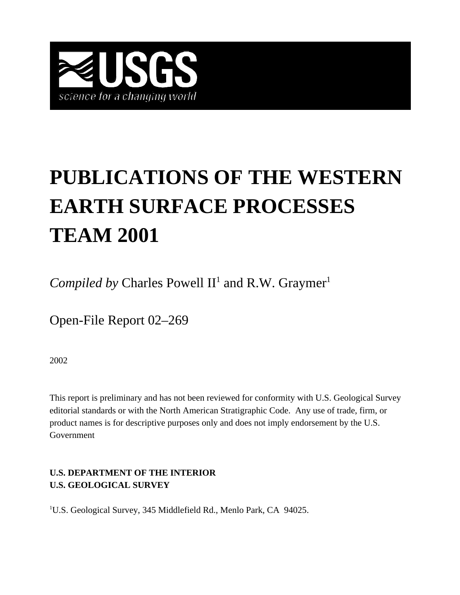

# **PUBLICATIONS OF THE WESTERN EARTH SURFACE PROCESSES TEAM 2001**

*Compiled by* Charles Powell  $II<sup>1</sup>$  and R.W. Graymer<sup>1</sup>

Open-File Report 02–269

2002

This report is preliminary and has not been reviewed for conformity with U.S. Geological Survey editorial standards or with the North American Stratigraphic Code. Any use of trade, firm, or product names is for descriptive purposes only and does not imply endorsement by the U.S. Government

## **U.S. DEPARTMENT OF THE INTERIOR U.S. GEOLOGICAL SURVEY**

<sup>1</sup>U.S. Geological Survey, 345 Middlefield Rd., Menlo Park, CA 94025.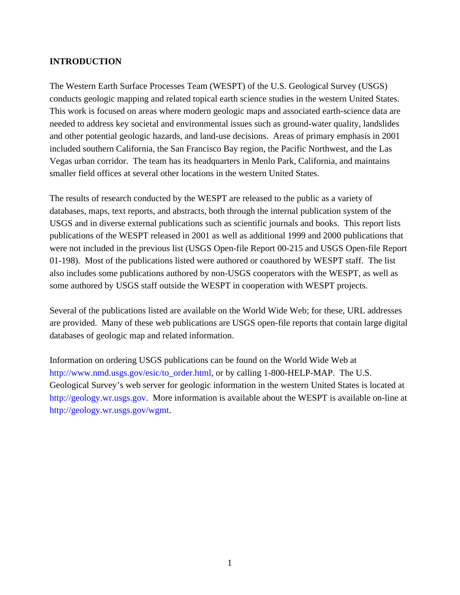### **INTRODUCTION**

The Western Earth Surface Processes Team (WESPT) of the U.S. Geological Survey (USGS) conducts geologic mapping and related topical earth science studies in the western United States. This work is focused on areas where modern geologic maps and associated earth-science data are needed to address key societal and environmental issues such as ground-water quality, landslides and other potential geologic hazards, and land-use decisions. Areas of primary emphasis in 2001 included southern California, the San Francisco Bay region, the Pacific Northwest, and the Las Vegas urban corridor. The team has its headquarters in Menlo Park, California, and maintains smaller field offices at several other locations in the western United States.

The results of research conducted by the WESPT are released to the public as a variety of databases, maps, text reports, and abstracts, both through the internal publication system of the USGS and in diverse external publications such as scientific journals and books. This report lists publications of the WESPT released in 2001 as well as additional 1999 and 2000 publications that were not included in the previous list (USGS Open-file Report 00-215 and USGS Open-file Report 01-198). Most of the publications listed were authored or coauthored by WESPT staff. The list also includes some publications authored by non-USGS cooperators with the WESPT, as well as some authored by USGS staff outside the WESPT in cooperation with WESPT projects.

Several of the publications listed are available on the World Wide Web; for these, URL addresses are provided. Many of these web publications are USGS open-file reports that contain large digital databases of geologic map and related information.

Information on ordering USGS publications can be found on the World Wide Web at [http://www.nmd.usgs.gov/esic/to\\_order.html,](http://www.nmd.usgs.gov/esic/to_order.html) or by calling 1-800-HELP-MAP. The U.S. Geological Survey's web server for geologic information in the western United States is located at [http://geology.wr.usgs.gov.](http://geology.wr.usgs.gov/) More information is available about the WESPT is available on-line at [http://geology.wr.usgs.gov/wgmt.](http://geology.wr.usgs.gov/wgmt/)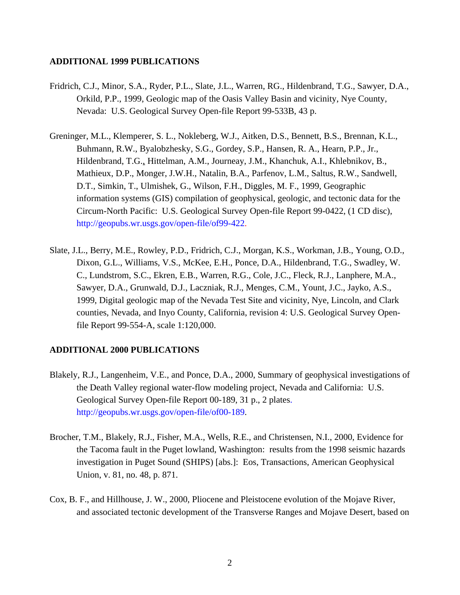#### **ADDITIONAL 1999 PUBLICATIONS**

- Fridrich, C.J., Minor, S.A., Ryder, P.L., Slate, J.L., Warren, RG., Hildenbrand, T.G., Sawyer, D.A., Orkild, P.P., 1999, Geologic map of the Oasis Valley Basin and vicinity, Nye County, Nevada: U.S. Geological Survey Open-file Report 99-533B, 43 p.
- Greninger, M.L., Klemperer, S. L., Nokleberg, W.J., Aitken, D.S., Bennett, B.S., Brennan, K.L., Buhmann, R.W., Byalobzhesky, S.G., Gordey, S.P., Hansen, R. A., Hearn, P.P., Jr., Hildenbrand, T.G., Hittelman, A.M., Journeay, J.M., Khanchuk, A.I., Khlebnikov, B., Mathieux, D.P., Monger, J.W.H., Natalin, B.A., Parfenov, L.M., Saltus, R.W., Sandwell, D.T., Simkin, T., Ulmishek, G., Wilson, F.H., Diggles, M. F., 1999, Geographic information systems (GIS) compilation of geophysical, geologic, and tectonic data for the Circum-North Pacific: U.S. Geological Survey Open-file Report 99-0422, (1 CD disc), http://geopubs[.wr.usgs.gov/open-file/of99-422.](http://geopubs.wr.usgs.gov/open-file/of99-422/)
- Slate, J.L., Berry, M.E., Rowley, P.D., Fridrich, C.J., Morgan, K.S., Workman, J.B., Young, O.D., Dixon, G.L., Williams, V.S., McKee, E.H., Ponce, D.A., Hildenbrand, T.G., Swadley, W. C., Lundstrom, S.C., Ekren, E.B., Warren, R.G., Cole, J.C., Fleck, R.J., Lanphere, M.A., Sawyer, D.A., Grunwald, D.J., Laczniak, R.J., Menges, C.M., Yount, J.C., Jayko, A.S., 1999, Digital geologic map of the Nevada Test Site and vicinity, Nye, Lincoln, and Clark counties, Nevada, and Inyo County, California, revision 4: U.S. Geological Survey Openfile Report 99-554-A, scale 1:120,000.

### **ADDITIONAL 2000 PUBLICATIONS**

- Blakely, R.J., Langenheim, V.E., and Ponce, D.A., 2000, Summary of geophysical investigations of the Death Valley regional water-flow modeling project, Nevada and California: U.S. Geological Survey Open-file Report 00-189, 31 p., 2 plates. [http://geopubs.wr.usgs.gov/open-file/of00-189.](http://geopubs.wr.usgs.gov/open-file/of00-189/)
- Brocher, T.M., Blakely, R.J., Fisher, M.A., Wells, R.E., and Christensen, N.I., 2000, Evidence for the Tacoma fault in the Puget lowland, Washington: results from the 1998 seismic hazards investigation in Puget Sound (SHIPS) [abs.]: Eos, Transactions, American Geophysical Union, v. 81, no. 48, p. 871.
- Cox, B. F., and Hillhouse, J. W., 2000, Pliocene and Pleistocene evolution of the Mojave River, and associated tectonic development of the Transverse Ranges and Mojave Desert, based on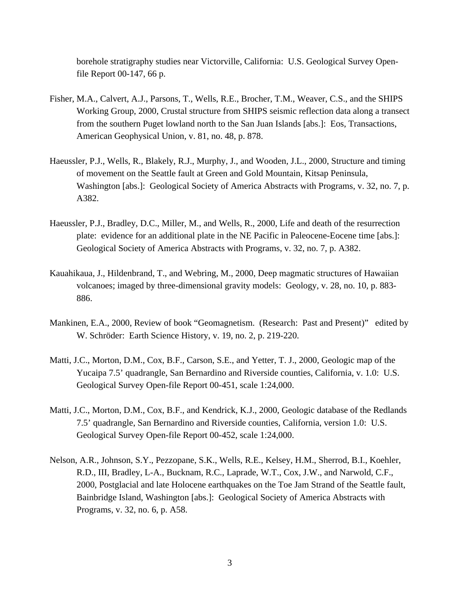borehole stratigraphy studies near Victorville, California: U.S. Geological Survey Openfile Report 00-147, 66 p.

- Fisher, M.A., Calvert, A.J., Parsons, T., Wells, R.E., Brocher, T.M., Weaver, C.S., and the SHIPS Working Group, 2000, Crustal structure from SHIPS seismic reflection data along a transect from the southern Puget lowland north to the San Juan Islands [abs.]: Eos, Transactions, American Geophysical Union, v. 81, no. 48, p. 878.
- Haeussler, P.J., Wells, R., Blakely, R.J., Murphy, J., and Wooden, J.L., 2000, Structure and timing of movement on the Seattle fault at Green and Gold Mountain, Kitsap Peninsula, Washington [abs.]: Geological Society of America Abstracts with Programs, v. 32, no. 7, p. A382.
- Haeussler, P.J., Bradley, D.C., Miller, M., and Wells, R., 2000, Life and death of the resurrection plate: evidence for an additional plate in the NE Pacific in Paleocene-Eocene time [abs.]: Geological Society of America Abstracts with Programs, v. 32, no. 7, p. A382.
- Kauahikaua, J., Hildenbrand, T., and Webring, M., 2000, Deep magmatic structures of Hawaiian volcanoes; imaged by three-dimensional gravity models: Geology, v. 28, no. 10, p. 883- 886.
- Mankinen, E.A., 2000, Review of book "Geomagnetism. (Research: Past and Present)" edited by W. Schröder: Earth Science History, v. 19, no. 2, p. 219-220.
- Matti, J.C., Morton, D.M., Cox, B.F., Carson, S.E., and Yetter, T. J., 2000, Geologic map of the Yucaipa 7.5' quadrangle, San Bernardino and Riverside counties, California, v. 1.0: U.S. Geological Survey Open-file Report 00-451, scale 1:24,000.
- Matti, J.C., Morton, D.M., Cox, B.F., and Kendrick, K.J., 2000, Geologic database of the Redlands 7.5' quadrangle, San Bernardino and Riverside counties, California, version 1.0: U.S. Geological Survey Open-file Report 00-452, scale 1:24,000.
- Nelson, A.R., Johnson, S.Y., Pezzopane, S.K., Wells, R.E., Kelsey, H.M., Sherrod, B.I., Koehler, R.D., III, Bradley, L-A., Bucknam, R.C., Laprade, W.T., Cox, J.W., and Narwold, C.F., 2000, Postglacial and late Holocene earthquakes on the Toe Jam Strand of the Seattle fault, Bainbridge Island, Washington [abs.]: Geological Society of America Abstracts with Programs, v. 32, no. 6, p. A58.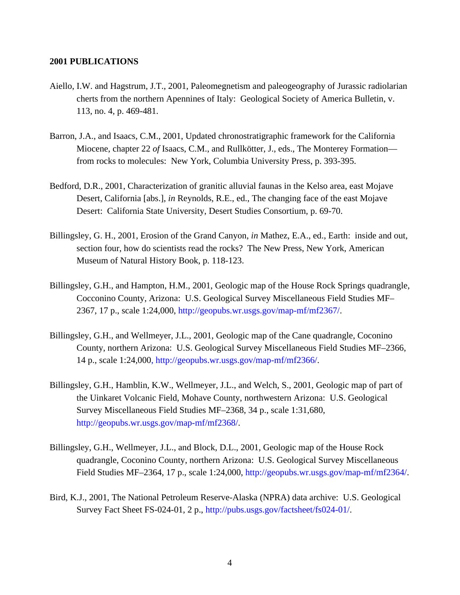#### **2001 PUBLICATIONS**

- Aiello, I.W. and Hagstrum, J.T., 2001, Paleomegnetism and paleogeography of Jurassic radiolarian cherts from the northern Apennines of Italy: Geological Society of America Bulletin, v. 113, no. 4, p. 469-481.
- Barron, J.A., and Isaacs, C.M., 2001, Updated chronostratigraphic framework for the California Miocene, chapter 22 *of* Isaacs, C.M., and Rullkötter, J., eds., The Monterey Formation from rocks to molecules: New York, Columbia University Press, p. 393-395.
- Bedford, D.R., 2001, Characterization of granitic alluvial faunas in the Kelso area, east Mojave Desert, California [abs.], *in* Reynolds, R.E., ed., The changing face of the east Mojave Desert: California State University, Desert Studies Consortium, p. 69-70.
- Billingsley, G. H., 2001, Erosion of the Grand Canyon, *in* Mathez, E.A., ed., Earth: inside and out, section four, how do scientists read the rocks? The New Press, New York, American Museum of Natural History Book, p. 118-123.
- Billingsley, G.H., and Hampton, H.M., 2001, Geologic map of the House Rock Springs quadrangle, Cocconino County, Arizona: U.S. Geological Survey Miscellaneous Field Studies MF– 2367, 17 p., scale 1:24,000, [http://geopubs.wr.usgs.gov/map-mf/mf2367](http://geopubs.wr.usgs.gov/map-mf/mf2367/)/.
- Billingsley, G.H., and Wellmeyer, J.L., 2001, Geologic map of the Cane quadrangle, Coconino County, northern Arizona: U.S. Geological Survey Miscellaneous Field Studies MF–2366, 14 p., scale 1:24,000, [http://geopubs.wr.usgs.gov/map-mf/mf2366](http://geopubs.wr.usgs.gov/map-mf/mf2366/)/.
- Billingsley, G.H., Hamblin, K.W., Wellmeyer, J.L., and Welch, S., 2001, Geologic map of part of the Uinkaret Volcanic Field, Mohave County, northwestern Arizona: U.S. Geological Survey Miscellaneous Field Studies MF–2368, 34 p., scale 1:31,680, [http://geopubs.wr.usgs.gov/map-mf/mf2368](http://geopubs.wr.usgs.gov/map-mf/mf2368/)/.
- Billingsley, G.H., Wellmeyer, J.L., and Block, D.L., 2001, Geologic map of the House Rock quadrangle, Coconino County, northern Arizona: U.S. Geological Survey Miscellaneous Field Studies MF–2364, 17 p., scale 1:24,000, [http://geopubs.wr.usgs.gov/map-mf/mf2364](http://geopubs.wr.usgs.gov/map-mf/mf2364/)/.
- Bird, K.J., 2001, The National Petroleum Reserve-Alaska (NPRA) data archive: U.S. Geological Survey Fact Sheet FS-024-01, 2 p., [http://pubs.usgs.gov/factsheet/fs024-01](http://pubs.usgs.gov/factsheet/fs024-01/)/.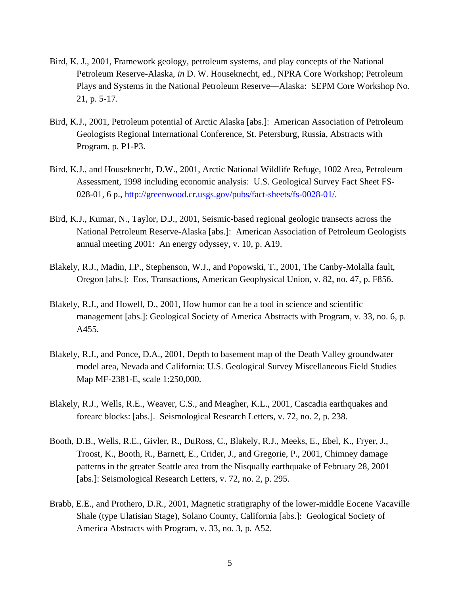- Bird, K. J., 2001, Framework geology, petroleum systems, and play concepts of the National Petroleum Reserve-Alaska, *in* D. W. Houseknecht, ed., NPRA Core Workshop; Petroleum Plays and Systems in the National Petroleum Reserve—Alaska: SEPM Core Workshop No. 21, p. 5-17.
- Bird, K.J., 2001, Petroleum potential of Arctic Alaska [abs.]: American Association of Petroleum Geologists Regional International Conference, St. Petersburg, Russia, Abstracts with Program, p. P1-P3.
- Bird, K.J., and Houseknecht, D.W., 2001, Arctic National Wildlife Refuge, 1002 Area, Petroleum Assessment, 1998 including economic analysis: U.S. Geological Survey Fact Sheet FS-028-01, 6 p., [http://greenwood.cr.usgs.gov/pubs/fact-sheets/fs-0028-01](http://greenwood.cr.usgs.gov/pubs/fact-sheets/fs-0028-01/)/.
- Bird, K.J., Kumar, N., Taylor, D.J., 2001, Seismic-based regional geologic transects across the National Petroleum Reserve-Alaska [abs.]: American Association of Petroleum Geologists annual meeting 2001: An energy odyssey, v. 10, p. A19.
- Blakely, R.J., Madin, I.P., Stephenson, W.J., and Popowski, T., 2001, The Canby-Molalla fault, Oregon [abs.]: Eos, Transactions, American Geophysical Union, v. 82, no. 47, p. F856.
- Blakely, R.J., and Howell, D., 2001, How humor can be a tool in science and scientific management [abs.]: Geological Society of America Abstracts with Program, v. 33, no. 6, p. A455.
- Blakely, R.J., and Ponce, D.A., 2001, Depth to basement map of the Death Valley groundwater model area, Nevada and California: U.S. Geological Survey Miscellaneous Field Studies Map MF-2381-E, scale 1:250,000.
- Blakely, R.J., Wells, R.E., Weaver, C.S., and Meagher, K.L., 2001, Cascadia earthquakes and forearc blocks: [abs.]. Seismological Research Letters, v. 72, no. 2, p. 238.
- Booth, D.B., Wells, R.E., Givler, R., DuRoss, C., Blakely, R.J., Meeks, E., Ebel, K., Fryer, J., Troost, K., Booth, R., Barnett, E., Crider, J., and Gregorie, P., 2001, Chimney damage patterns in the greater Seattle area from the Nisqually earthquake of February 28, 2001 [abs.]: Seismological Research Letters, v. 72, no. 2, p. 295.
- Brabb, E.E., and Prothero, D.R., 2001, Magnetic stratigraphy of the lower-middle Eocene Vacaville Shale (type Ulatisian Stage), Solano County, California [abs.]: Geological Society of America Abstracts with Program, v. 33, no. 3, p. A52.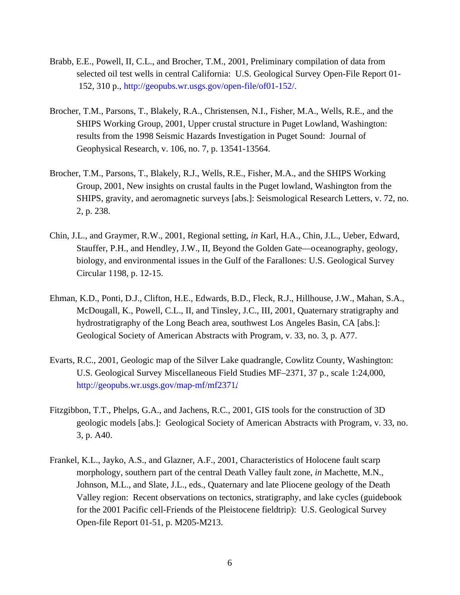- Brabb, E.E., Powell, II, C.L., and Brocher, T.M., 2001, Preliminary compilation of data from selected oil test wells in central California: U.S. Geological Survey Open-File Report 01- 152, 310 p., http://geopubs[.wr.usgs.gov/open-file/of01-15](http://geopubs.wr.usgs.gov/open-file/of01-152/)2/.
- Brocher, T.M., Parsons, T., Blakely, R.A., Christensen, N.I., Fisher, M.A., Wells, R.E., and the SHIPS Working Group, 2001, Upper crustal structure in Puget Lowland, Washington: results from the 1998 Seismic Hazards Investigation in Puget Sound: Journal of Geophysical Research, v. 106, no. 7, p. 13541-13564.
- Brocher, T.M., Parsons, T., Blakely, R.J., Wells, R.E., Fisher, M.A., and the SHIPS Working Group, 2001, New insights on crustal faults in the Puget lowland, Washington from the SHIPS, gravity, and aeromagnetic surveys [abs.]: Seismological Research Letters, v. 72, no. 2, p. 238.
- Chin, J.L., and Graymer, R.W., 2001, Regional setting, *in* Karl, H.A., Chin, J.L., Ueber, Edward, Stauffer, P.H., and Hendley, J.W., II, Beyond the Golden Gate—oceanography, geology, biology, and environmental issues in the Gulf of the Farallones: U.S. Geological Survey Circular 1198, p. 12-15.
- Ehman, K.D., Ponti, D.J., Clifton, H.E., Edwards, B.D., Fleck, R.J., Hillhouse, J.W., Mahan, S.A., McDougall, K., Powell, C.L., II, and Tinsley, J.C., III, 2001, Quaternary stratigraphy and hydrostratigraphy of the Long Beach area, southwest Los Angeles Basin, CA [abs.]: Geological Society of American Abstracts with Program, v. 33, no. 3, p. A77.
- Evarts, R.C., 2001, Geologic map of the Silver Lake quadrangle, Cowlitz County, Washington: U.S. Geological Survey Miscellaneous Field Studies MF–2371, 37 p., scale 1:24,000, [http://geopubs.wr.usgs.gov/map-mf/mf2371](http://geopubs.wr.usgs.gov/map-mf/mf2371/)/.
- Fitzgibbon, T.T., Phelps, G.A., and Jachens, R.C., 2001, GIS tools for the construction of 3D geologic models [abs.]: Geological Society of American Abstracts with Program, v. 33, no. 3, p. A40.
- Frankel, K.L., Jayko, A.S., and Glazner, A.F., 2001, Characteristics of Holocene fault scarp morphology, southern part of the central Death Valley fault zone, *in* Machette, M.N., Johnson, M.L., and Slate, J.L., eds., Quaternary and late Pliocene geology of the Death Valley region: Recent observations on tectonics, stratigraphy, and lake cycles (guidebook for the 2001 Pacific cell-Friends of the Pleistocene fieldtrip): U.S. Geological Survey Open-file Report 01-51, p. M205-M213.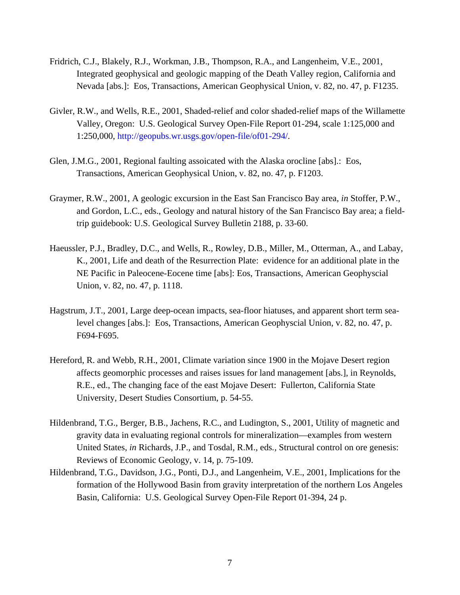- Fridrich, C.J., Blakely, R.J., Workman, J.B., Thompson, R.A., and Langenheim, V.E., 2001, Integrated geophysical and geologic mapping of the Death Valley region, California and Nevada [abs.]: Eos, Transactions, American Geophysical Union, v. 82, no. 47, p. F1235.
- Givler, R.W., and Wells, R.E., 2001, Shaded-relief and color shaded-relief maps of the Willamette Valley, Oregon: U.S. Geological Survey Open-File Report 01-294, scale 1:125,000 and 1:250,000, [http://geopubs.wr.usgs.gov/open-file/of01-294](http://geopubs.wr.usgs.gov/open-file/of01-294/)/.
- Glen, J.M.G., 2001, Regional faulting assoicated with the Alaska orocline [abs].: Eos, Transactions, American Geophysical Union, v. 82, no. 47, p. F1203.
- Graymer, R.W., 2001, A geologic excursion in the East San Francisco Bay area, *in* Stoffer, P.W., and Gordon, L.C., eds., Geology and natural history of the San Francisco Bay area; a fieldtrip guidebook: U.S. Geological Survey Bulletin 2188, p. 33-60.
- Haeussler, P.J., Bradley, D.C., and Wells, R., Rowley, D.B., Miller, M., Otterman, A., and Labay, K., 2001, Life and death of the Resurrection Plate: evidence for an additional plate in the NE Pacific in Paleocene-Eocene time [abs]: Eos, Transactions, American Geophyscial Union, v. 82, no. 47, p. 1118.
- Hagstrum, J.T., 2001, Large deep-ocean impacts, sea-floor hiatuses, and apparent short term sealevel changes [abs.]: Eos, Transactions, American Geophyscial Union, v. 82, no. 47, p. F694-F695.
- Hereford, R. and Webb, R.H., 2001, Climate variation since 1900 in the Mojave Desert region affects geomorphic processes and raises issues for land management [abs.], in Reynolds, R.E., ed., The changing face of the east Mojave Desert: Fullerton, California State University, Desert Studies Consortium, p. 54-55.
- Hildenbrand, T.G., Berger, B.B., Jachens, R.C., and Ludington, S., 2001, Utility of magnetic and gravity data in evaluating regional controls for mineralization—examples from western United States, *in* Richards, J.P., and Tosdal, R.M., eds*.,* Structural control on ore genesis: Reviews of Economic Geology, v. 14, p. 75-109.
- Hildenbrand, T.G., Davidson, J.G., Ponti, D.J., and Langenheim, V.E., 2001, Implications for the formation of the Hollywood Basin from gravity interpretation of the northern Los Angeles Basin, California: U.S. Geological Survey Open-File Report 01-394, 24 p.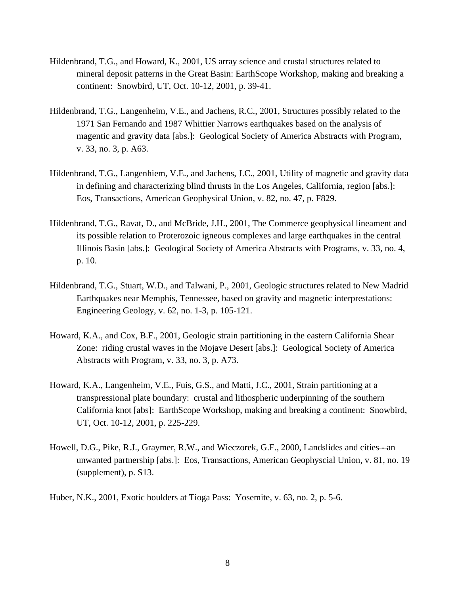- Hildenbrand, T.G., and Howard, K., 2001, US array science and crustal structures related to mineral deposit patterns in the Great Basin: EarthScope Workshop, making and breaking a continent: Snowbird, UT, Oct. 10-12, 2001, p. 39-41.
- Hildenbrand, T.G., Langenheim, V.E., and Jachens, R.C., 2001, Structures possibly related to the 1971 San Fernando and 1987 Whittier Narrows earthquakes based on the analysis of magentic and gravity data [abs.]: Geological Society of America Abstracts with Program, v. 33, no. 3, p. A63.
- Hildenbrand, T.G., Langenhiem, V.E., and Jachens, J.C., 2001, Utility of magnetic and gravity data in defining and characterizing blind thrusts in the Los Angeles, California, region [abs.]: Eos, Transactions, American Geophysical Union, v. 82, no. 47, p. F829.
- Hildenbrand, T.G., Ravat, D., and McBride, J.H., 2001, The Commerce geophysical lineament and its possible relation to Proterozoic igneous complexes and large earthquakes in the central Illinois Basin [abs.]: Geological Society of America Abstracts with Programs, v. 33, no. 4, p. 10.
- Hildenbrand, T.G., Stuart, W.D., and Talwani, P., 2001, Geologic structures related to New Madrid Earthquakes near Memphis, Tennessee, based on gravity and magnetic interprestations: Engineering Geology, v. 62, no. 1-3, p. 105-121.
- Howard, K.A., and Cox, B.F., 2001, Geologic strain partitioning in the eastern California Shear Zone: riding crustal waves in the Mojave Desert [abs.]: Geological Society of America Abstracts with Program, v. 33, no. 3, p. A73.
- Howard, K.A., Langenheim, V.E., Fuis, G.S., and Matti, J.C., 2001, Strain partitioning at a transpressional plate boundary: crustal and lithospheric underpinning of the southern California knot [abs]: EarthScope Workshop, making and breaking a continent: Snowbird, UT, Oct. 10-12, 2001, p. 225-229.
- Howell, D.G., Pike, R.J., Graymer, R.W., and Wieczorek, G.F., 2000, Landslides and cities—an unwanted partnership [abs.]: Eos, Transactions, American Geophyscial Union, v. 81, no. 19 (supplement), p. S13.
- Huber, N.K., 2001, Exotic boulders at Tioga Pass: Yosemite, v. 63, no. 2, p. 5-6.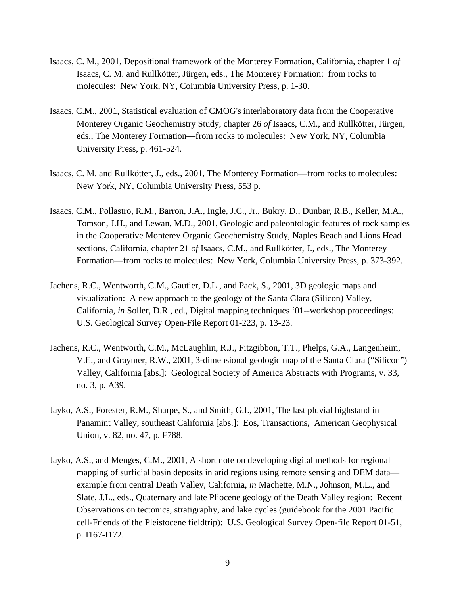- Isaacs, C. M., 2001, Depositional framework of the Monterey Formation, California, chapter 1 *of* Isaacs, C. M. and Rullkötter, Jürgen, eds., The Monterey Formation: from rocks to molecules: New York, NY, Columbia University Press, p. 1-30.
- Isaacs, C.M., 2001, Statistical evaluation of CMOG's interlaboratory data from the Cooperative Monterey Organic Geochemistry Study, chapter 26 *of* Isaacs, C.M., and Rullkötter, Jürgen, eds., The Monterey Formation—from rocks to molecules: New York, NY, Columbia University Press, p. 461-524.
- Isaacs, C. M. and Rullkötter, J., eds., 2001, The Monterey Formation—from rocks to molecules: New York, NY, Columbia University Press, 553 p.
- Isaacs, C.M., Pollastro, R.M., Barron, J.A., Ingle, J.C., Jr., Bukry, D., Dunbar, R.B., Keller, M.A., Tomson, J.H., and Lewan, M.D., 2001, Geologic and paleontologic features of rock samples in the Cooperative Monterey Organic Geochemistry Study, Naples Beach and Lions Head sections, California, chapter 21 *of* Isaacs, C.M., and Rullkötter, J., eds., The Monterey Formation—from rocks to molecules: New York, Columbia University Press, p. 373-392.
- Jachens, R.C., Wentworth, C.M., Gautier, D.L., and Pack, S., 2001, 3D geologic maps and visualization: A new approach to the geology of the Santa Clara (Silicon) Valley, California, *in* Soller, D.R., ed., Digital mapping techniques '01--workshop proceedings: U.S. Geological Survey Open-File Report 01-223, p. 13-23.
- Jachens, R.C., Wentworth, C.M., McLaughlin, R.J., Fitzgibbon, T.T., Phelps, G.A., Langenheim, V.E., and Graymer, R.W., 2001, 3-dimensional geologic map of the Santa Clara ("Silicon") Valley, California [abs.]: Geological Society of America Abstracts with Programs, v. 33, no. 3, p. A39.
- Jayko, A.S., Forester, R.M., Sharpe, S., and Smith, G.I., 2001, The last pluvial highstand in Panamint Valley, southeast California [abs.]: Eos, Transactions, American Geophysical Union, v. 82, no. 47, p. F788.
- Jayko, A.S., and Menges, C.M., 2001, A short note on developing digital methods for regional mapping of surficial basin deposits in arid regions using remote sensing and DEM data example from central Death Valley, California, *in* Machette, M.N., Johnson, M.L., and Slate, J.L., eds., Quaternary and late Pliocene geology of the Death Valley region: Recent Observations on tectonics, stratigraphy, and lake cycles (guidebook for the 2001 Pacific cell-Friends of the Pleistocene fieldtrip): U.S. Geological Survey Open-file Report 01-51, p. I167-I172.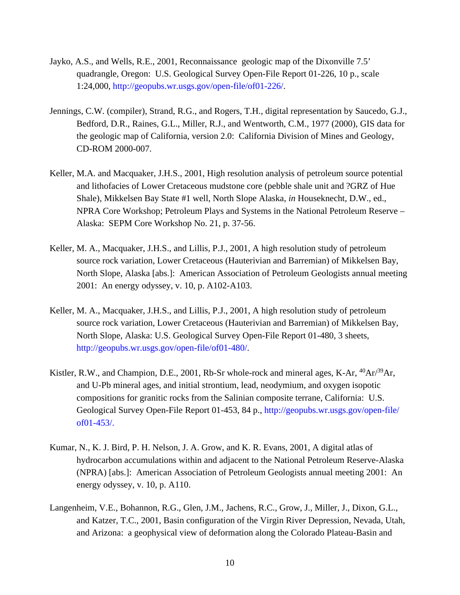- Jayko, A.S., and Wells, R.E., 2001, Reconnaissance geologic map of the Dixonville 7.5' quadrangle, Oregon: U.S. Geological Survey Open-File Report 01-226, 10 p., scale 1:24,000, [http://geopubs.wr.usgs.gov/open-file/of01-226](http://geopubs.wr.usgs.gov/open-file/of01-226/)/.
- Jennings, C.W. (compiler), Strand, R.G., and Rogers, T.H., digital representation by Saucedo, G.J., Bedford, D.R., Raines, G.L., Miller, R.J., and Wentworth, C.M., 1977 (2000), GIS data for the geologic map of California, version 2.0: California Division of Mines and Geology, CD-ROM 2000-007.
- Keller, M.A. and Macquaker, J.H.S., 2001, High resolution analysis of petroleum source potential and lithofacies of Lower Cretaceous mudstone core (pebble shale unit and ?GRZ of Hue Shale), Mikkelsen Bay State #1 well, North Slope Alaska, *in* Houseknecht, D.W., ed., NPRA Core Workshop; Petroleum Plays and Systems in the National Petroleum Reserve – Alaska: SEPM Core Workshop No. 21, p. 37-56.
- Keller, M. A., Macquaker, J.H.S., and Lillis, P.J., 2001, A high resolution study of petroleum source rock variation, Lower Cretaceous (Hauterivian and Barremian) of Mikkelsen Bay, North Slope, Alaska [abs.]: American Association of Petroleum Geologists annual meeting 2001: An energy odyssey, v. 10, p. A102-A103.
- Keller, M. A., Macquaker, J.H.S., and Lillis, P.J., 2001, A high resolution study of petroleum source rock variation, Lower Cretaceous (Hauterivian and Barremian) of Mikkelsen Bay, North Slope, Alaska: U.S. Geological Survey Open-File Report 01-480, 3 sheets, [http://geopubs.wr.usgs.gov/open-file/of01-480](http://geopubs.wr.usgs.gov/open-file/of01-480/)/.
- Kistler, R.W., and Champion, D.E., 2001, Rb-Sr whole-rock and mineral ages, K-Ar, <sup>40</sup>Ar/<sup>39</sup>Ar, and U-Pb mineral ages, and initial strontium, lead, neodymium, and oxygen isopotic compositions for granitic rocks from the Salinian composite terrane, California: U.S. Geological Survey Open-File Report 01-453, 84 p., http://geopubs[.wr.usgs.gov/open-file/](http://geopubs.wr.usgs.gov/open-file/of01-453/) [of01-](http://geopubs.wr.usgs.gov/open-file/of01-453/)453/.
- Kumar, N., K. J. Bird, P. H. Nelson, J. A. Grow, and K. R. Evans, 2001, A digital atlas of hydrocarbon accumulations within and adjacent to the National Petroleum Reserve-Alaska (NPRA) [abs.]: American Association of Petroleum Geologists annual meeting 2001: An energy odyssey, v. 10, p. A110.
- Langenheim, V.E., Bohannon, R.G., Glen, J.M., Jachens, R.C., Grow, J., Miller, J., Dixon, G.L., and Katzer, T.C., 2001, Basin configuration of the Virgin River Depression, Nevada, Utah, and Arizona: a geophysical view of deformation along the Colorado Plateau-Basin and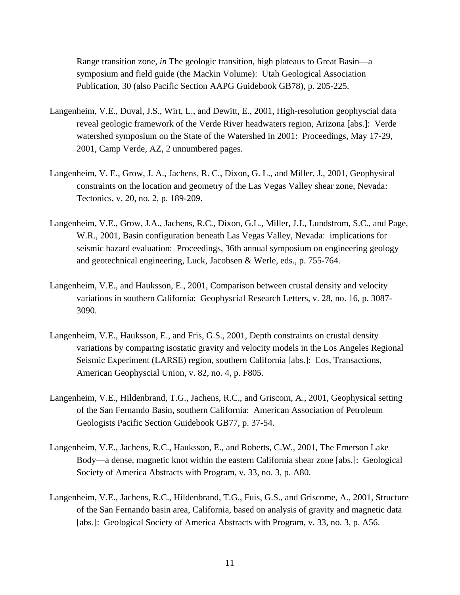Range transition zone, *in* The geologic transition, high plateaus to Great Basin—a symposium and field guide (the Mackin Volume): Utah Geological Association Publication, 30 (also Pacific Section AAPG Guidebook GB78), p. 205-225.

- Langenheim, V.E., Duval, J.S., Wirt, L., and Dewitt, E., 2001, High-resolution geophyscial data reveal geologic framework of the Verde River headwaters region, Arizona [abs.]: Verde watershed symposium on the State of the Watershed in 2001: Proceedings, May 17-29, 2001, Camp Verde, AZ, 2 unnumbered pages.
- Langenheim, V. E., Grow, J. A., Jachens, R. C., Dixon, G. L., and Miller, J., 2001, Geophysical constraints on the location and geometry of the Las Vegas Valley shear zone, Nevada: Tectonics, v. 20, no. 2, p. 189-209.
- Langenheim, V.E., Grow, J.A., Jachens, R.C., Dixon, G.L., Miller, J.J., Lundstrom, S.C., and Page, W.R., 2001, Basin configuration beneath Las Vegas Valley, Nevada: implications for seismic hazard evaluation: Proceedings, 36th annual symposium on engineering geology and geotechnical engineering, Luck, Jacobsen & Werle, eds., p. 755-764.
- Langenheim, V.E., and Hauksson, E., 2001, Comparison between crustal density and velocity variations in southern California: Geophyscial Research Letters, v. 28, no. 16, p. 3087- 3090.
- Langenheim, V.E., Hauksson, E., and Fris, G.S., 2001, Depth constraints on crustal density variations by comparing isostatic gravity and velocity models in the Los Angeles Regional Seismic Experiment (LARSE) region, southern California [abs.]: Eos, Transactions, American Geophyscial Union, v. 82, no. 4, p. F805.
- Langenheim, V.E., Hildenbrand, T.G., Jachens, R.C., and Griscom, A., 2001, Geophysical setting of the San Fernando Basin, southern California: American Association of Petroleum Geologists Pacific Section Guidebook GB77, p. 37-54.
- Langenheim, V.E., Jachens, R.C., Hauksson, E., and Roberts, C.W., 2001, The Emerson Lake Body—a dense, magnetic knot within the eastern California shear zone [abs.]: Geological Society of America Abstracts with Program, v. 33, no. 3, p. A80.
- Langenheim, V.E., Jachens, R.C., Hildenbrand, T.G., Fuis, G.S., and Griscome, A., 2001, Structure of the San Fernando basin area, California, based on analysis of gravity and magnetic data [abs.]: Geological Society of America Abstracts with Program, v. 33, no. 3, p. A56.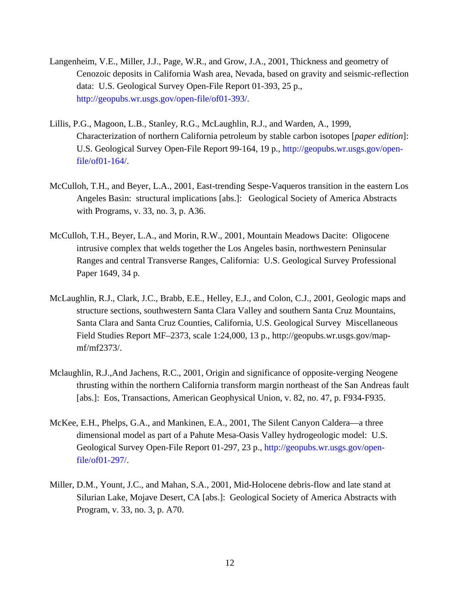- Langenheim, V.E., Miller, J.J., Page, W.R., and Grow, J.A., 2001, Thickness and geometry of Cenozoic deposits in California Wash area, Nevada, based on gravity and seismic-reflection data: U.S. Geological Survey Open-File Report 01-393, 25 p., http://geopubs[.wr.usgs.gov/open-file/of01-393/.](http://geopubs.wr.usgs.gov/open-file/of01-393/)
- Lillis, P.G., Magoon, L.B., Stanley, R.G., McLaughlin, R.J., and Warden, A., 1999, Characterization of northern California petroleum by stable carbon isotopes [*paper edition*]: U.S. Geological Survey Open-File Report 99-164, 19 p., http://geopubs[.wr.usgs.gov/open](http://geopubs.wr.usgs.gov/openfile/of01-164/)[file/of01-164](http://geopubs.wr.usgs.gov/openfile/of01-164/)/.
- McCulloh, T.H., and Beyer, L.A., 2001, East-trending Sespe-Vaqueros transition in the eastern Los Angeles Basin: structural implications [abs.]: Geological Society of America Abstracts with Programs, v. 33, no. 3, p. A36.
- McCulloh, T.H., Beyer, L.A., and Morin, R.W., 2001, Mountain Meadows Dacite: Oligocene intrusive complex that welds together the Los Angeles basin, northwestern Peninsular Ranges and central Transverse Ranges, California: U.S. Geological Survey Professional Paper 1649, 34 p.
- McLaughlin, R.J., Clark, J.C., Brabb, E.E., Helley, E.J., and Colon, C.J., 2001, Geologic maps and structure sections, southwestern Santa Clara Valley and southern Santa Cruz Mountains, Santa Clara and Santa Cruz Counties, California, U.S. Geological Survey Miscellaneous Field Studies Report MF–2373, scale 1:24,000, 13 p., http://geopubs.wr.usgs.gov/mapmf/mf2373/.
- Mclaughlin, R.J.,And Jachens, R.C., 2001, Origin and significance of opposite-verging Neogene thrusting within the northern California transform margin northeast of the San Andreas fault [abs.]: Eos, Transactions, American Geophysical Union, v. 82, no. 47, p. F934-F935.
- McKee, E.H., Phelps, G.A., and Mankinen, E.A., 2001, The Silent Canyon Caldera—a three dimensional model as part of a Pahute Mesa-Oasis Valley hydrogeologic model: U.S. Geological Survey Open-File Report 01-297, 23 p., [http://geopubs.wr.usgs.gov/open](http://geopubs.wr.usgs.gov/open-file/of01-297/)[file/of01-297](http://geopubs.wr.usgs.gov/open-file/of01-297/)/.
- Miller, D.M., Yount, J.C., and Mahan, S.A., 2001, Mid-Holocene debris-flow and late stand at Silurian Lake, Mojave Desert, CA [abs.]: Geological Society of America Abstracts with Program, v. 33, no. 3, p. A70.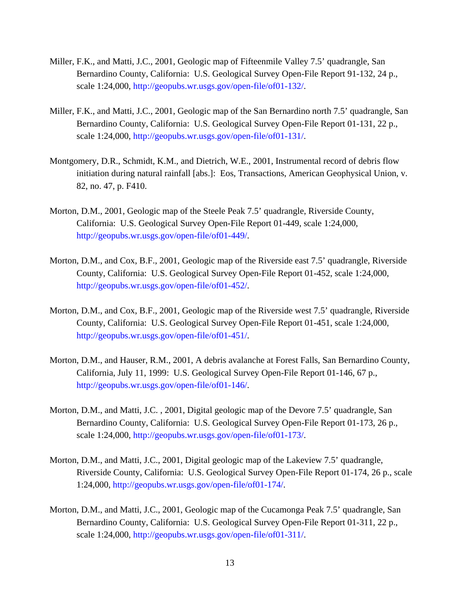- Miller, F.K., and Matti, J.C., 2001, Geologic map of Fifteenmile Valley 7.5' quadrangle, San Bernardino County, California: U.S. Geological Survey Open-File Report 91-132, 24 p., scale 1:24,000, [http://geopubs.wr.usgs.gov/open-file/of01-132](http://geopubs.wr.usgs.gov/open-file/of01-132/)/.
- Miller, F.K., and Matti, J.C., 2001, Geologic map of the San Bernardino north 7.5' quadrangle, San Bernardino County, California: U.S. Geological Survey Open-File Report 01-131, 22 p., scale 1:24,000, [http://geopubs.wr.usgs.gov/open-file/of01-131](http://geopubs.wr.usgs.gov/open-file/of01-131/)/.
- Montgomery, D.R., Schmidt, K.M., and Dietrich, W.E., 2001, Instrumental record of debris flow initiation during natural rainfall [abs.]: Eos, Transactions, American Geophysical Union, v. 82, no. 47, p. F410.
- Morton, D.M., 2001, Geologic map of the Steele Peak 7.5' quadrangle, Riverside County, California: U.S. Geological Survey Open-File Report 01-449, scale 1:24,000, [http://geopubs.wr.usgs.gov/open-file/of01-449](http://geopubs.wr.usgs.gov/open-file/of01-449/)/.
- Morton, D.M., and Cox, B.F., 2001, Geologic map of the Riverside east 7.5' quadrangle, Riverside County, California: U.S. Geological Survey Open-File Report 01-452, scale 1:24,000, http://[geopubs.wr.usgs.gov/open-file/of01-452](http://geopubs.wr.usgs.gov/open-file/of01-452/)/.
- Morton, D.M., and Cox, B.F., 2001, Geologic map of the Riverside west 7.5' quadrangle, Riverside County, California: U.S. Geological Survey Open-File Report 01-451, scale 1:24,000, [http://geopubs.wr.usgs.gov/open-file/of01-451](http://geopubs.wr.usgs.gov/open-file/of01-451/)/.
- Morton, D.M., and Hauser, R.M., 2001, A debris avalanche at Forest Falls, San Bernardino County, California, July 11, 1999: U.S. Geological Survey Open-File Report 01-146, 67 p., [http://geopubs.wr.usgs.gov/open-file/of01-146](http://geopubs.wr.usgs.gov/open-file/of01-146/)/.
- Morton, D.M., and Matti, J.C. , 2001, Digital geologic map of the Devore 7.5' quadrangle, San Bernardino County, California: U.S. Geological Survey Open-File Report 01-173, 26 p., scale 1:24,000, [http://geopubs.wr.usgs.gov/open-file/of01-173](http://geopubs.wr.usgs.gov/open-file/of01-173/)/.
- Morton, D.M., and Matti, J.C., 2001, Digital geologic map of the Lakeview 7.5' quadrangle, Riverside County, California: U.S. Geological Survey Open-File Report 01-174, 26 p., scale 1:24,000, [http://geopubs.wr.usgs.gov/open-file/of01-174](http://geopubs.wr.usgs.gov/open-file/of01-174/)/.
- Morton, D.M., and Matti, J.C., 2001, Geologic map of the Cucamonga Peak 7.5' quadrangle, San Bernardino County, California: U.S. Geological Survey Open-File Report 01-311, 22 p., scale 1:24,000, [http://geopubs.wr.usgs.gov/open-file/of01-311](http://geopubs.wr.usgs.gov/open-file/of01-311/)/.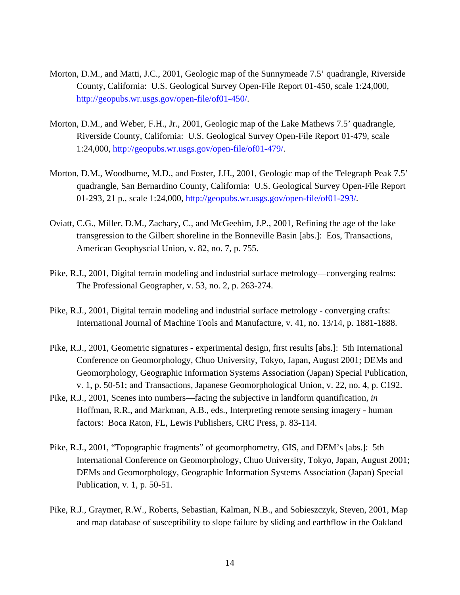- Morton, D.M., and Matti, J.C., 2001, Geologic map of the Sunnymeade 7.5' quadrangle, Riverside County, California: U.S. Geological Survey Open-File Report 01-450, scale 1:24,000, [http://geopubs.wr.usgs.gov/open-file/of01-450](http://geopubs.wr.usgs.gov/open-file/of01-450/)/.
- Morton, D.M., and Weber, F.H., Jr., 2001, Geologic map of the Lake Mathews 7.5' quadrangle, Riverside County, California: U.S. Geological Survey Open-File Report 01-479, scale 1:24,000, [http://geopubs.wr.usgs.gov/open-file/of01-479](http://geopubs.wr.usgs.gov/open-file/of01-479/)/.
- Morton, D.M., Woodburne, M.D., and Foster, J.H., 2001, Geologic map of the Telegraph Peak 7.5' quadrangle, San Bernardino County, California: U.S. Geological Survey Open-File Report 01-293, 21 p., scale 1:24,000, [http://geopubs.wr.usgs.gov/open-file/of01-293](http://geopubs.wr.usgs.gov/open-file/of01-293/)/.
- Oviatt, C.G., Miller, D.M., Zachary, C., and McGeehim, J.P., 2001, Refining the age of the lake transgression to the Gilbert shoreline in the Bonneville Basin [abs.]: Eos, Transactions, American Geophyscial Union, v. 82, no. 7, p. 755.
- Pike, R.J., 2001, Digital terrain modeling and industrial surface metrology—converging realms: The Professional Geographer, v. 53, no. 2, p. 263-274.
- Pike, R.J., 2001, Digital terrain modeling and industrial surface metrology converging crafts: International Journal of Machine Tools and Manufacture, v. 41, no. 13/14, p. 1881-1888.
- Pike, R.J., 2001, Geometric signatures experimental design, first results [abs.]: 5th International Conference on Geomorphology, Chuo University, Tokyo, Japan, August 2001; DEMs and Geomorphology, Geographic Information Systems Association (Japan) Special Publication, v. 1, p. 50-51; and Transactions, Japanese Geomorphological Union, v. 22, no. 4, p. C192.
- Pike, R.J., 2001, Scenes into numbers—facing the subjective in landform quantification, *in* Hoffman, R.R., and Markman, A.B., eds., Interpreting remote sensing imagery - human factors: Boca Raton, FL, Lewis Publishers, CRC Press, p. 83-114.
- Pike, R.J., 2001, "Topographic fragments" of geomorphometry, GIS, and DEM's [abs.]: 5th International Conference on Geomorphology, Chuo University, Tokyo, Japan, August 2001; DEMs and Geomorphology, Geographic Information Systems Association (Japan) Special Publication, v. 1, p. 50-51.
- Pike, R.J., Graymer, R.W., Roberts, Sebastian, Kalman, N.B., and Sobieszczyk, Steven, 2001, Map and map database of susceptibility to slope failure by sliding and earthflow in the Oakland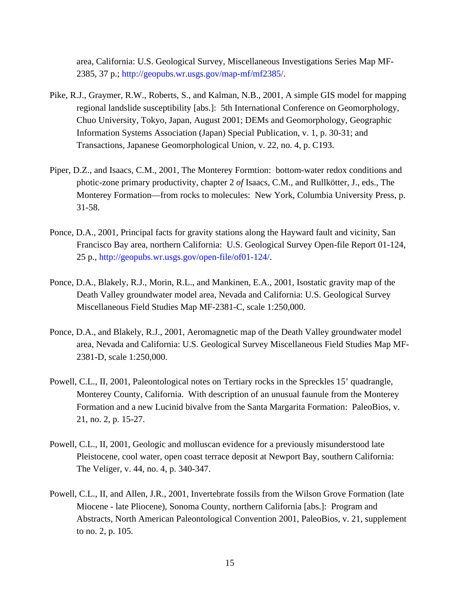area, California: U.S. Geological Survey, Miscellaneous Investigations Series Map MF-2385, 37 p.; [http://geopubs.wr.usgs.gov/map-mf/mf2385/.](http://geopubs.wr.usgs.gov/map-mf/mf2385/)

- Pike, R.J., Graymer, R.W., Roberts, S., and Kalman, N.B., 2001, A simple GIS model for mapping regional landslide susceptibility [abs.]: 5th International Conference on Geomorphology, Chuo University, Tokyo, Japan, August 2001; DEMs and Geomorphology, Geographic Information Systems Association (Japan) Special Publication, v. 1, p. 30-31; and Transactions, Japanese Geomorphological Union, v. 22, no. 4, p. C193.
- Piper, D.Z., and Isaacs, C.M., 2001, The Monterey Formtion: bottom-water redox conditions and photic-zone primary productivity, chapter 2 *of* Isaacs, C.M., and Rullkötter, J., eds., The Monterey Formation—from rocks to molecules: New York, Columbia University Press, p. 31-58.
- Ponce, D.A., 2001, Principal facts for gravity stations along the Hayward fault and vicinity, San Francisco Bay area, northern California: U.S. Geological Survey Open-file Report 01-124, 25 p., [http://geopubs.wr.usgs.gov/open-file/of01-124](http://geopubs.wr.usgs.gov/open-file/of01-124/)/.
- Ponce, D.A., Blakely, R.J., Morin, R.L., and Mankinen, E.A., 2001, Isostatic gravity map of the Death Valley groundwater model area, Nevada and California: U.S. Geological Survey Miscellaneous Field Studies Map MF-2381-C, scale 1:250,000.
- Ponce, D.A., and Blakely, R.J., 2001, Aeromagnetic map of the Death Valley groundwater model area, Nevada and California: U.S. Geological Survey Miscellaneous Field Studies Map MF-2381-D, scale 1:250,000.
- Powell, C.L., II, 2001, Paleontological notes on Tertiary rocks in the Spreckles 15' quadrangle, Monterey County, California. With description of an unusual faunule from the Monterey Formation and a new Lucinid bivalve from the Santa Margarita Formation: PaleoBios, v. 21, no. 2, p. 15-27.
- Powell, C.L., II, 2001, Geologic and molluscan evidence for a previously misunderstood late Pleistocene, cool water, open coast terrace deposit at Newport Bay, southern California: The Veliger, v. 44, no. 4, p. 340-347.
- Powell, C.L., II, and Allen, J.R., 2001, Invertebrate fossils from the Wilson Grove Formation (late Miocene - late Pliocene), Sonoma County, northern California [abs.]: Program and Abstracts, North American Paleontological Convention 2001, PaleoBios, v. 21, supplement to no. 2, p. 105.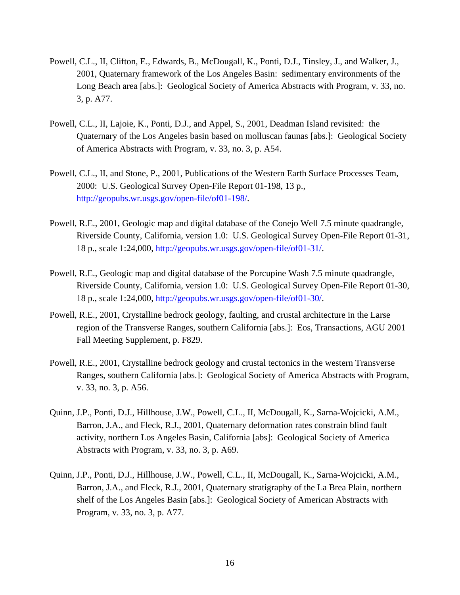- Powell, C.L., II, Clifton, E., Edwards, B., McDougall, K., Ponti, D.J., Tinsley, J., and Walker, J., 2001, Quaternary framework of the Los Angeles Basin: sedimentary environments of the Long Beach area [abs.]: Geological Society of America Abstracts with Program, v. 33, no. 3, p. A77.
- Powell, C.L., II, Lajoie, K., Ponti, D.J., and Appel, S., 2001, Deadman Island revisited: the Quaternary of the Los Angeles basin based on molluscan faunas [abs.]: Geological Society of America Abstracts with Program, v. 33, no. 3, p. A54.
- Powell, C.L., II, and Stone, P., 2001, Publications of the Western Earth Surface Processes Team, 2000: U.S. Geological Survey Open-File Report 01-198, 13 p., [http://geopubs.wr.usgs.gov/open-file/of01-198](http://geopubs.wr.usgs.gov/open-file/of01-198/)/.
- Powell, R.E., 2001, Geologic map and digital database of the Conejo Well 7.5 minute quadrangle, Riverside County, California, version 1.0: U.S. Geological Survey Open-File Report 01-31, 18 p., scale 1:24,000, [http://geopubs.wr.usgs.gov/open-file/of01-31](http://geopubs.wr.usgs.gov/open-file/of01-31/)/.
- Powell, R.E., Geologic map and digital database of the Porcupine Wash 7.5 minute quadrangle, Riverside County, California, version 1.0: U.S. Geological Survey Open-File Report 01-30, 18 p., scale 1:24,000, [http://geopubs.wr.usgs.gov/open-file/of01-30](http://geopubs.wr.usgs.gov/open-file/of01-30/)/.
- Powell, R.E., 2001, Crystalline bedrock geology, faulting, and crustal architecture in the Larse region of the Transverse Ranges, southern California [abs.]: Eos, Transactions, AGU 2001 Fall Meeting Supplement, p. F829.
- Powell, R.E., 2001, Crystalline bedrock geology and crustal tectonics in the western Transverse Ranges, southern California [abs.]: Geological Society of America Abstracts with Program, v. 33, no. 3, p. A56.
- Quinn, J.P., Ponti, D.J., Hillhouse, J.W., Powell, C.L., II, McDougall, K., Sarna-Wojcicki, A.M., Barron, J.A., and Fleck, R.J., 2001, Quaternary deformation rates constrain blind fault activity, northern Los Angeles Basin, California [abs]: Geological Society of America Abstracts with Program, v. 33, no. 3, p. A69.
- Quinn, J.P., Ponti, D.J., Hillhouse, J.W., Powell, C.L., II, McDougall, K., Sarna-Wojcicki, A.M., Barron, J.A., and Fleck, R.J., 2001, Quaternary stratigraphy of the La Brea Plain, northern shelf of the Los Angeles Basin [abs.]: Geological Society of American Abstracts with Program, v. 33, no. 3, p. A77.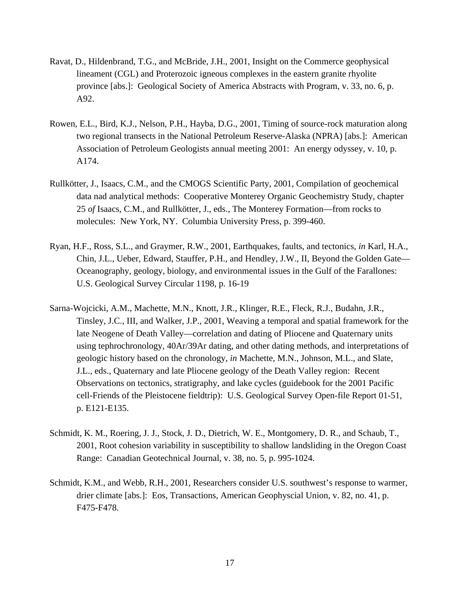- Ravat, D., Hildenbrand, T.G., and McBride, J.H., 2001, Insight on the Commerce geophysical lineament (CGL) and Proterozoic igneous complexes in the eastern granite rhyolite province [abs.]: Geological Society of America Abstracts with Program, v. 33, no. 6, p. A92.
- Rowen, E.L., Bird, K.J., Nelson, P.H., Hayba, D.G., 2001, Timing of source-rock maturation along two regional transects in the National Petroleum Reserve-Alaska (NPRA) [abs.]: American Association of Petroleum Geologists annual meeting 2001: An energy odyssey, v. 10, p. A174.
- Rullkötter, J., Isaacs, C.M., and the CMOGS Scientific Party, 2001, Compilation of geochemical data nad analytical methods: Cooperative Monterey Organic Geochemistry Study, chapter 25 *of* Isaacs, C.M., and Rullkötter, J., eds., The Monterey Formation—from rocks to molecules: New York, NY. Columbia University Press, p. 399-460.
- Ryan, H.F., Ross, S.L., and Graymer, R.W., 2001, Earthquakes, faults, and tectonics, *in* Karl, H.A., Chin, J.L., Ueber, Edward, Stauffer, P.H., and Hendley, J.W., II, Beyond the Golden Gate— Oceanography, geology, biology, and environmental issues in the Gulf of the Farallones: U.S. Geological Survey Circular 1198, p. 16-19
- Sarna-Wojcicki, A.M., Machette, M.N., Knott, J.R., Klinger, R.E., Fleck, R.J., Budahn, J.R., Tinsley, J.C., III, and Walker, J.P., 2001, Weaving a temporal and spatial framework for the late Neogene of Death Valley—correlation and dating of Pliocene and Quaternary units using tephrochronology, 40Ar/39Ar dating, and other dating methods, and interpretations of geologic history based on the chronology, *in* Machette, M.N., Johnson, M.L., and Slate, J.L., eds., Quaternary and late Pliocene geology of the Death Valley region: Recent Observations on tectonics, stratigraphy, and lake cycles (guidebook for the 2001 Pacific cell-Friends of the Pleistocene fieldtrip): U.S. Geological Survey Open-file Report 01-51, p. E121-E135.
- Schmidt, K. M., Roering, J. J., Stock, J. D., Dietrich, W. E., Montgomery, D. R., and Schaub, T., 2001, Root cohesion variability in susceptibility to shallow landsliding in the Oregon Coast Range: Canadian Geotechnical Journal, v. 38, no. 5, p. 995-1024.
- Schmidt, K.M., and Webb, R.H., 2001, Researchers consider U.S. southwest's response to warmer, drier climate [abs.]: Eos, Transactions, American Geophyscial Union, v. 82, no. 41, p. F475-F478.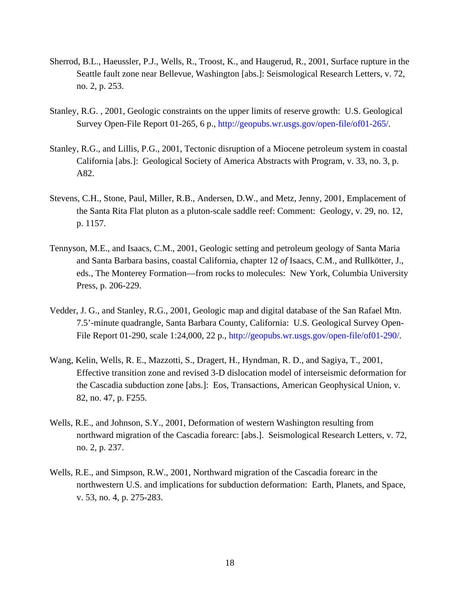- Sherrod, B.L., Haeussler, P.J., Wells, R., Troost, K., and Haugerud, R., 2001, Surface rupture in the Seattle fault zone near Bellevue, Washington [abs.]: Seismological Research Letters, v. 72, no. 2, p. 253.
- Stanley, R.G. , 2001, Geologic constraints on the upper limits of reserve growth: U.S. Geological Survey Open-File Report 01-265, 6 p., [http://geopubs.wr.usgs.gov/open-file/of01-265](http://geopubs.wr.usgs.gov/open-file/of01-265/)/.
- Stanley, R.G., and Lillis, P.G., 2001, Tectonic disruption of a Miocene petroleum system in coastal California [abs.]: Geological Society of America Abstracts with Program, v. 33, no. 3, p. A82.
- Stevens, C.H., Stone, Paul, Miller, R.B., Andersen, D.W., and Metz, Jenny, 2001, Emplacement of the Santa Rita Flat pluton as a pluton-scale saddle reef: Comment: Geology, v. 29, no. 12, p. 1157.
- Tennyson, M.E., and Isaacs, C.M., 2001, Geologic setting and petroleum geology of Santa Maria and Santa Barbara basins, coastal California, chapter 12 *of* Isaacs, C.M., and Rullkötter, J., eds., The Monterey Formation—from rocks to molecules: New York, Columbia University Press, p. 206-229.
- Vedder, J. G., and Stanley, R.G., 2001, Geologic map and digital database of the San Rafael Mtn. 7.5'-minute quadrangle, Santa Barbara County, California: U.S. Geological Survey Open-File Report 01-290, scale 1:24,000, 22 p., [http://geopubs.wr.usgs.gov/open-file/of01-290](http://geopubs.wr.usgs.gov/open-file/of01-290/)/.
- Wang, Kelin, Wells, R. E., Mazzotti, S., Dragert, H., Hyndman, R. D., and Sagiya, T., 2001, Effective transition zone and revised 3-D dislocation model of interseismic deformation for the Cascadia subduction zone [abs.]: Eos, Transactions, American Geophysical Union, v. 82, no. 47, p. F255.
- Wells, R.E., and Johnson, S.Y., 2001, Deformation of western Washington resulting from northward migration of the Cascadia forearc: [abs.]. Seismological Research Letters, v. 72, no. 2, p. 237.
- Wells, R.E., and Simpson, R.W., 2001, Northward migration of the Cascadia forearc in the northwestern U.S. and implications for subduction deformation: Earth, Planets, and Space, v. 53, no. 4, p. 275-283.